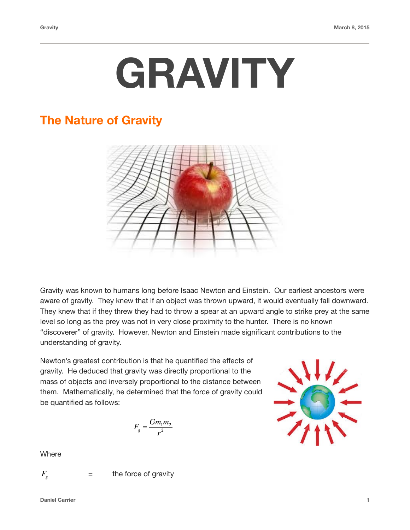

## **The Nature of Gravity**



Gravity was known to humans long before Isaac Newton and Einstein. Our earliest ancestors were aware of gravity. They knew that if an object was thrown upward, it would eventually fall downward. They knew that if they threw they had to throw a spear at an upward angle to strike prey at the same level so long as the prey was not in very close proximity to the hunter. There is no known "discoverer" of gravity. However, Newton and Einstein made significant contributions to the understanding of gravity.

Newton's greatest contribution is that he quantified the effects of gravity. He deduced that gravity was directly proportional to the mass of objects and inversely proportional to the distance between them. Mathematically, he determined that the force of gravity could be quantified as follows:

$$
F_g = \frac{Gm_1m_2}{r^2}
$$



**Where** 

$$
F_{_g}
$$

 = the force of gravity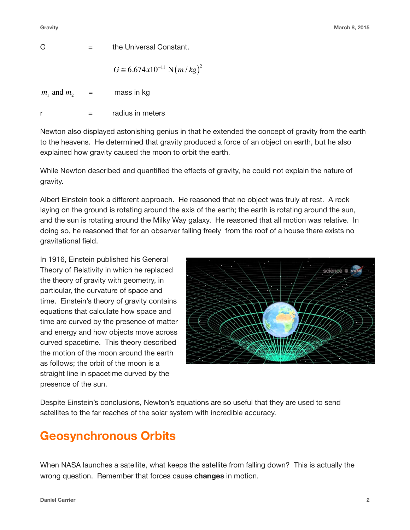$$
G = \qquad \qquad the Universal Constant.
$$

$$
G \cong 6.674 \, x 10^{-11} \, \text{N} \big( m \, / \, kg \big)^2
$$

 $=$  mass in kg  $m_1$  and  $m_2$ 

 $r =$  radius in meters

Newton also displayed astonishing genius in that he extended the concept of gravity from the earth to the heavens. He determined that gravity produced a force of an object on earth, but he also explained how gravity caused the moon to orbit the earth.

While Newton described and quantified the effects of gravity, he could not explain the nature of gravity.

Albert Einstein took a different approach. He reasoned that no object was truly at rest. A rock laying on the ground is rotating around the axis of the earth; the earth is rotating around the sun, and the sun is rotating around the Milky Way galaxy. He reasoned that all motion was relative. In doing so, he reasoned that for an observer falling freely from the roof of a house there exists no gravitational field.

In 1916, Einstein published his General Theory of Relativity in which he replaced the theory of gravity with geometry, in particular, the curvature of space and time. Einstein's theory of gravity contains equations that calculate how space and time are curved by the presence of matter and energy and how objects move across curved spacetime. This theory described the motion of the moon around the earth as follows; the orbit of the moon is a straight line in spacetime curved by the presence of the sun.



Despite Einstein's conclusions, Newton's equations are so useful that they are used to send satellites to the far reaches of the solar system with incredible accuracy.

# **Geosynchronous Orbits**

When NASA launches a satellite, what keeps the satellite from falling down? This is actually the wrong question. Remember that forces cause **changes** in motion.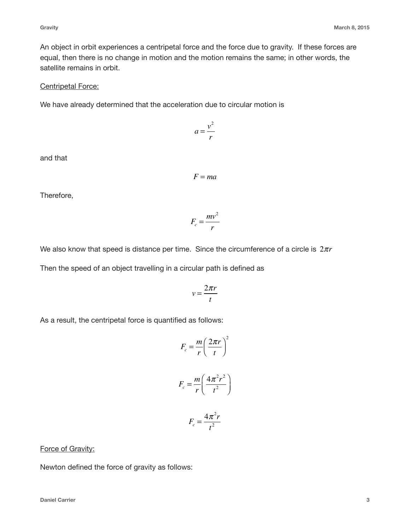An object in orbit experiences a centripetal force and the force due to gravity. If these forces are equal, then there is no change in motion and the motion remains the same; in other words, the satellite remains in orbit.

### Centripetal Force:

We have already determined that the acceleration due to circular motion is

and that

Therefore,

We also know that speed is distance per time. Since the circumference of a circle is  $2\pi r$ 

Then the speed of an object travelling in a circular path is defined as

$$
v = \frac{2\pi r}{t}
$$

As a result, the centripetal force is quantified

Force of Gravity:

Newton defined the force of gravity as follows:

$$
F=ma
$$

 $a = \frac{v^2}{a}$ *r*

$$
F_c = \frac{mv^2}{r}
$$

ed as follows:  
\n
$$
F_c = \frac{m}{r} \left(\frac{2\pi r}{t}\right)^2
$$
\n
$$
F_c = \frac{m}{r} \left(\frac{4\pi^2 r^2}{t^2}\right)
$$

$$
F_c = \frac{4\pi^2 r}{t^2}
$$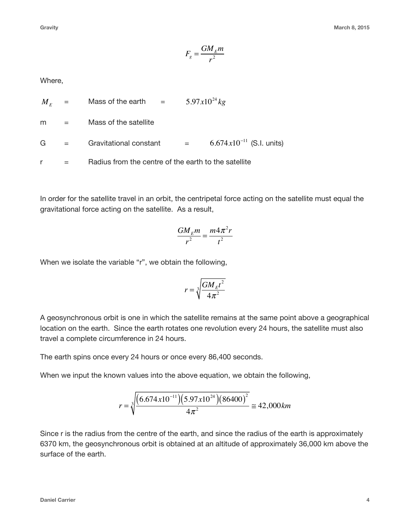$$
F_g = \frac{GM_Em}{r^2}
$$

#### Where,

|   |                      | $M_{\scriptscriptstyle E}$ = Mass of the earth =     |  | $5.97x10^{24}$ kg              |
|---|----------------------|------------------------------------------------------|--|--------------------------------|
| m | and the state of the | Mass of the satellite                                |  |                                |
|   | $G =$                | Gravitational constant =                             |  | 6.674 $x10^{-11}$ (S.I. units) |
|   |                      | Radius from the centre of the earth to the satellite |  |                                |

In order for the satellite travel in an orbit, the centripetal force acting on the satellite must equal the gravitational force acting on the satellite. As a result,

$$
\frac{GM_Em}{r^2} = \frac{m4\pi^2r}{t^2}
$$

When we isolate the variable "r", we obtain the following,

$$
r = \sqrt[3]{\frac{GM_E t^2}{4\pi^2}}
$$

A geosynchronous orbit is one in which the satellite remains at the same point above a geographical location on the earth. Since the earth rotates one revolution every 24 hours, the satellite must also travel a complete circumference in 24 hours.

The earth spins once every 24 hours or once every 86,400 seconds.

When we input the known values into the above equation, we obtain the following,

$$
r = \sqrt[3]{\frac{(6.674 \times 10^{-11})(5.97 \times 10^{24})(86400)^2}{4\pi^2}} \approx 42,000 \, \text{km}
$$

Since r is the radius from the centre of the earth, and since the radius of the earth is approximately 6370 km, the geosynchronous orbit is obtained at an altitude of approximately 36,000 km above the surface of the earth.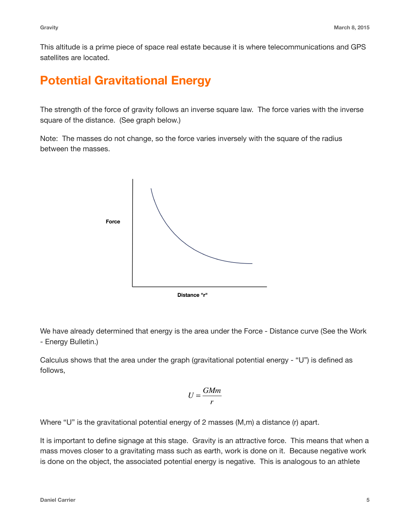This altitude is a prime piece of space real estate because it is where telecommunications and GPS satellites are located.

## **Potential Gravitational Energy**

The strength of the force of gravity follows an inverse square law. The force varies with the inverse square of the distance. (See graph below.)

Note: The masses do not change, so the force varies inversely with the square of the radius between the masses.



We have already determined that energy is the area under the Force - Distance curve (See the Work - Energy Bulletin.)

Calculus shows that the area under the graph (gravitational potential energy - "U") is defined as follows,

$$
U = \frac{GMm}{r}
$$

Where "U" is the gravitational potential energy of 2 masses (M,m) a distance (r) apart.

It is important to define signage at this stage. Gravity is an attractive force. This means that when a mass moves closer to a gravitating mass such as earth, work is done on it. Because negative work is done on the object, the associated potential energy is negative. This is analogous to an athlete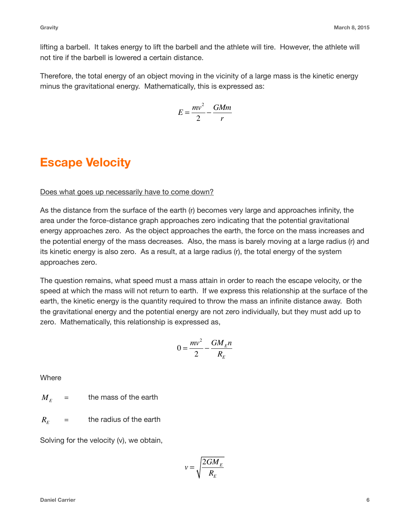lifting a barbell. It takes energy to lift the barbell and the athlete will tire. However, the athlete will not tire if the barbell is lowered a certain distance.

Therefore, the total energy of an object moving in the vicinity of a large mass is the kinetic energy minus the gravitational energy. Mathematically, this is expressed as:

$$
E = \frac{mv^2}{2} - \frac{GMm}{r}
$$

### **Escape Velocity**

### Does what goes up necessarily have to come down?

As the distance from the surface of the earth (r) becomes very large and approaches infinity, the area under the force-distance graph approaches zero indicating that the potential gravitational energy approaches zero. As the object approaches the earth, the force on the mass increases and the potential energy of the mass decreases. Also, the mass is barely moving at a large radius (r) and its kinetic energy is also zero. As a result, at a large radius (r), the total energy of the system approaches zero.

The question remains, what speed must a mass attain in order to reach the escape velocity, or the speed at which the mass will not return to earth. If we express this relationship at the surface of the earth, the kinetic energy is the quantity required to throw the mass an infinite distance away. Both the gravitational energy and the potential energy are not zero individually, but they must add up to zero. Mathematically, this relationship is expressed as,

$$
0 = \frac{mv^2}{2} - \frac{GM_E n}{R_E}
$$

**Where** 

= the mass of the earth  $M_{E}$ 

= the radius of the earth  $R_{E}$ 

Solving for the velocity (v), we obtain,

$$
v = \sqrt{\frac{2GM_E}{R_E}}
$$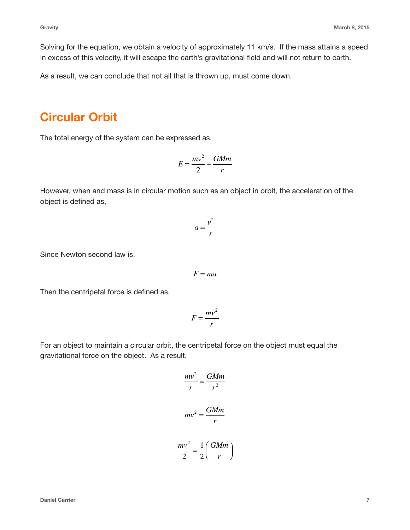Solving for the equation, we obtain a velocity of approximately 11 km/s. If the mass attains a speed in excess of this velocity, it will escape the earth's gravitational field and will not return to earth.

As a result, we can conclude that not all that is thrown up, must come down.

### **Circular Orbit**

The total energy of the system can be expressed as,

$$
E = \frac{mv^2}{2} - \frac{GMm}{r}
$$

However, when and mass is in circular motion such as an object in orbit, the acceleration of the object is defined as,

$$
a = \frac{v^2}{r}
$$

Since Newton second law is,

$$
F = ma
$$

Then the centripetal force is defined as,

$$
F = \frac{mv^2}{r}
$$

For an object to maintain a circular orbit, the centripetal force on the object must equal the gravitational force on the object. As a result,

$$
\frac{mv^2}{r} = \frac{GMm}{r^2}
$$

$$
mv^2 = \frac{GMm}{r}
$$

$$
\frac{mv^2}{2} = \frac{1}{2} \left(\frac{GMm}{r}\right)
$$